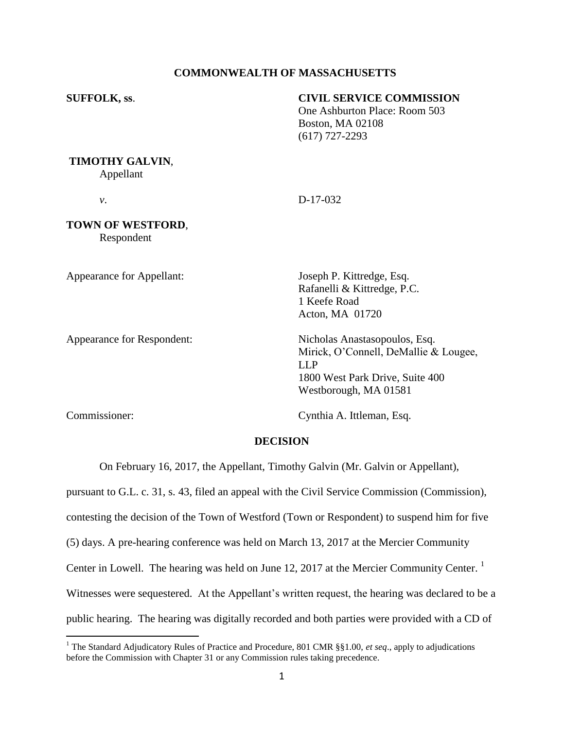# **COMMONWEALTH OF MASSACHUSETTS**

| <b>SUFFOLK, ss.</b>               | <b>CIVIL SERVICE COMMISSION</b><br>One Ashburton Place: Room 503<br><b>Boston, MA 02108</b><br>$(617)$ 727-2293                                  |
|-----------------------------------|--------------------------------------------------------------------------------------------------------------------------------------------------|
| TIMOTHY GALVIN,<br>Appellant      |                                                                                                                                                  |
| ν.                                | D-17-032                                                                                                                                         |
| TOWN OF WESTFORD,<br>Respondent   |                                                                                                                                                  |
| <b>Appearance for Appellant:</b>  | Joseph P. Kittredge, Esq.<br>Rafanelli & Kittredge, P.C.<br>1 Keefe Road<br>Acton, MA 01720                                                      |
| <b>Appearance for Respondent:</b> | Nicholas Anastasopoulos, Esq.<br>Mirick, O'Connell, DeMallie & Lougee,<br><b>LLP</b><br>1800 West Park Drive, Suite 400<br>Westborough, MA 01581 |

 $\overline{a}$ 

Commissioner: Cynthia A. Ittleman, Esq.

#### **DECISION**

On February 16, 2017, the Appellant, Timothy Galvin (Mr. Galvin or Appellant),

pursuant to G.L. c. 31, s. 43, filed an appeal with the Civil Service Commission (Commission),

contesting the decision of the Town of Westford (Town or Respondent) to suspend him for five

(5) days. A pre-hearing conference was held on March 13, 2017 at the Mercier Community

Center in Lowell. The hearing was held on June 12, 2017 at the Mercier Community Center.<sup>1</sup>

Witnesses were sequestered. At the Appellant's written request, the hearing was declared to be a

public hearing. The hearing was digitally recorded and both parties were provided with a CD of

<sup>1</sup> The Standard Adjudicatory Rules of Practice and Procedure, 801 CMR §§1.00, *et seq*., apply to adjudications before the Commission with Chapter 31 or any Commission rules taking precedence.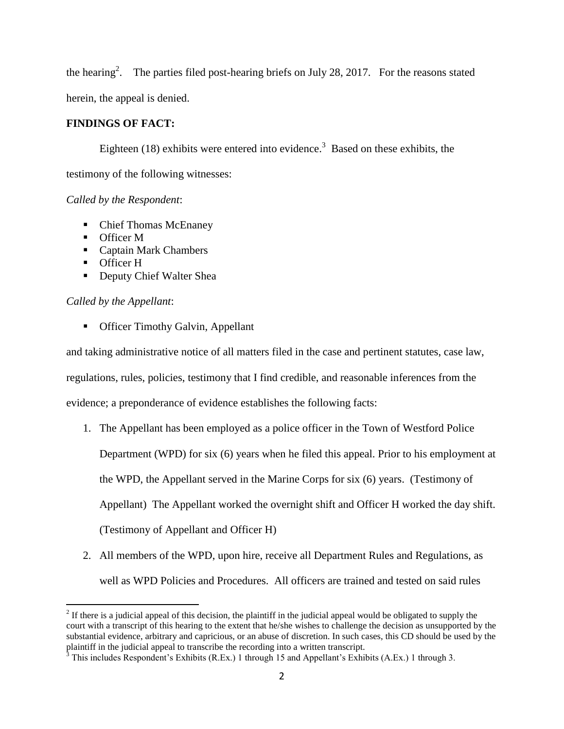the hearing<sup>2</sup>. The parties filed post-hearing briefs on July 28, 2017. For the reasons stated herein, the appeal is denied.

# **FINDINGS OF FACT:**

Eighteen (18) exhibits were entered into evidence.<sup>3</sup> Based on these exhibits, the testimony of the following witnesses:

*Called by the Respondent*:

- Chief Thomas McEnaney
- **Officer M**
- Captain Mark Chambers
- **Officer H**
- Deputy Chief Walter Shea

# *Called by the Appellant*:

**•** Officer Timothy Galvin, Appellant

and taking administrative notice of all matters filed in the case and pertinent statutes, case law,

regulations, rules, policies, testimony that I find credible, and reasonable inferences from the

evidence; a preponderance of evidence establishes the following facts:

- 1. The Appellant has been employed as a police officer in the Town of Westford Police Department (WPD) for six (6) years when he filed this appeal. Prior to his employment at the WPD, the Appellant served in the Marine Corps for six (6) years. (Testimony of Appellant) The Appellant worked the overnight shift and Officer H worked the day shift. (Testimony of Appellant and Officer H)
- 2. All members of the WPD, upon hire, receive all Department Rules and Regulations, as well as WPD Policies and Procedures. All officers are trained and tested on said rules

<sup>&</sup>lt;sup>2</sup> If there is a judicial appeal of this decision, the plaintiff in the judicial appeal would be obligated to supply the court with a transcript of this hearing to the extent that he/she wishes to challenge the decision as unsupported by the substantial evidence, arbitrary and capricious, or an abuse of discretion. In such cases, this CD should be used by the plaintiff in the judicial appeal to transcribe the recording into a written transcript.

 $3$  This includes Respondent's Exhibits (R.Ex.) 1 through 15 and Appellant's Exhibits (A.Ex.) 1 through 3.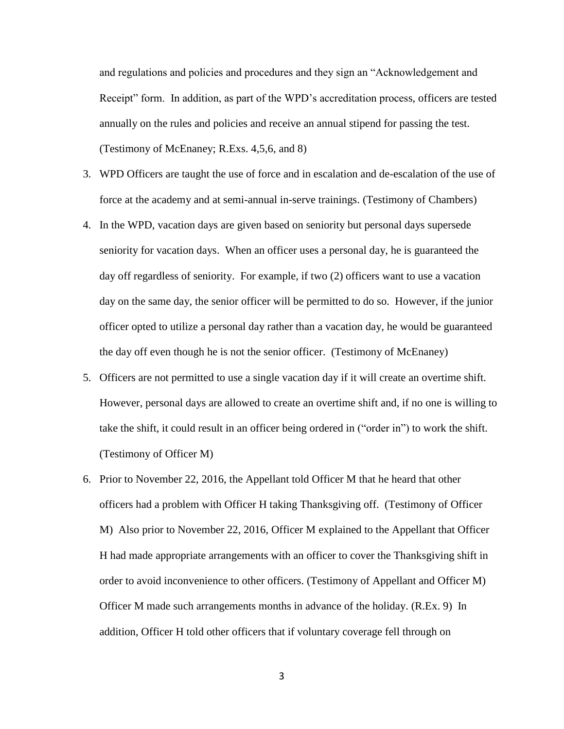and regulations and policies and procedures and they sign an "Acknowledgement and Receipt" form. In addition, as part of the WPD's accreditation process, officers are tested annually on the rules and policies and receive an annual stipend for passing the test. (Testimony of McEnaney; R.Exs. 4,5,6, and 8)

- 3. WPD Officers are taught the use of force and in escalation and de-escalation of the use of force at the academy and at semi-annual in-serve trainings. (Testimony of Chambers)
- 4. In the WPD, vacation days are given based on seniority but personal days supersede seniority for vacation days. When an officer uses a personal day, he is guaranteed the day off regardless of seniority. For example, if two (2) officers want to use a vacation day on the same day, the senior officer will be permitted to do so. However, if the junior officer opted to utilize a personal day rather than a vacation day, he would be guaranteed the day off even though he is not the senior officer. (Testimony of McEnaney)
- 5. Officers are not permitted to use a single vacation day if it will create an overtime shift. However, personal days are allowed to create an overtime shift and, if no one is willing to take the shift, it could result in an officer being ordered in ("order in") to work the shift. (Testimony of Officer M)
- 6. Prior to November 22, 2016, the Appellant told Officer M that he heard that other officers had a problem with Officer H taking Thanksgiving off. (Testimony of Officer M) Also prior to November 22, 2016, Officer M explained to the Appellant that Officer H had made appropriate arrangements with an officer to cover the Thanksgiving shift in order to avoid inconvenience to other officers. (Testimony of Appellant and Officer M) Officer M made such arrangements months in advance of the holiday. (R.Ex. 9) In addition, Officer H told other officers that if voluntary coverage fell through on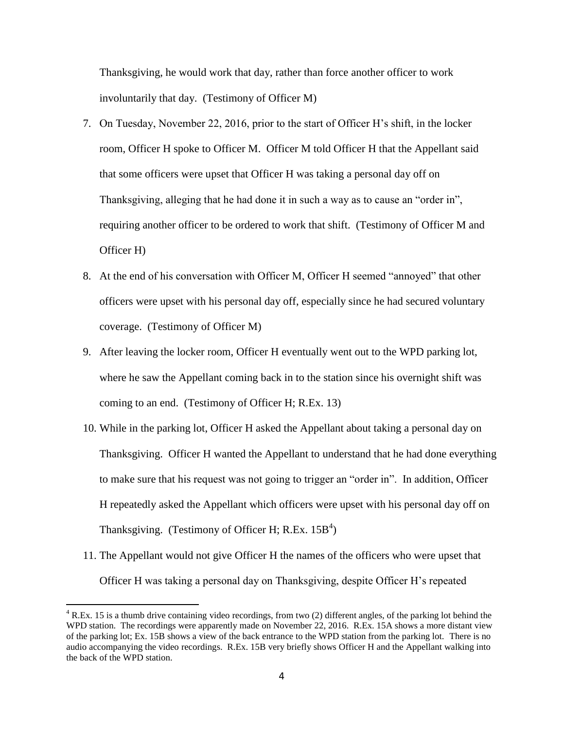Thanksgiving, he would work that day, rather than force another officer to work involuntarily that day. (Testimony of Officer M)

- 7. On Tuesday, November 22, 2016, prior to the start of Officer H's shift, in the locker room, Officer H spoke to Officer M. Officer M told Officer H that the Appellant said that some officers were upset that Officer H was taking a personal day off on Thanksgiving, alleging that he had done it in such a way as to cause an "order in", requiring another officer to be ordered to work that shift. (Testimony of Officer M and Officer H)
- 8. At the end of his conversation with Officer M, Officer H seemed "annoyed" that other officers were upset with his personal day off, especially since he had secured voluntary coverage. (Testimony of Officer M)
- 9. After leaving the locker room, Officer H eventually went out to the WPD parking lot, where he saw the Appellant coming back in to the station since his overnight shift was coming to an end. (Testimony of Officer H; R.Ex. 13)
- 10. While in the parking lot, Officer H asked the Appellant about taking a personal day on Thanksgiving. Officer H wanted the Appellant to understand that he had done everything to make sure that his request was not going to trigger an "order in". In addition, Officer H repeatedly asked the Appellant which officers were upset with his personal day off on Thanksgiving. (Testimony of Officer H; R.Ex.  $15B<sup>4</sup>$ )
- 11. The Appellant would not give Officer H the names of the officers who were upset that Officer H was taking a personal day on Thanksgiving, despite Officer H's repeated

 $\overline{a}$ 

 $4$  R.Ex. 15 is a thumb drive containing video recordings, from two (2) different angles, of the parking lot behind the WPD station. The recordings were apparently made on November 22, 2016. R.Ex. 15A shows a more distant view of the parking lot; Ex. 15B shows a view of the back entrance to the WPD station from the parking lot. There is no audio accompanying the video recordings. R.Ex. 15B very briefly shows Officer H and the Appellant walking into the back of the WPD station.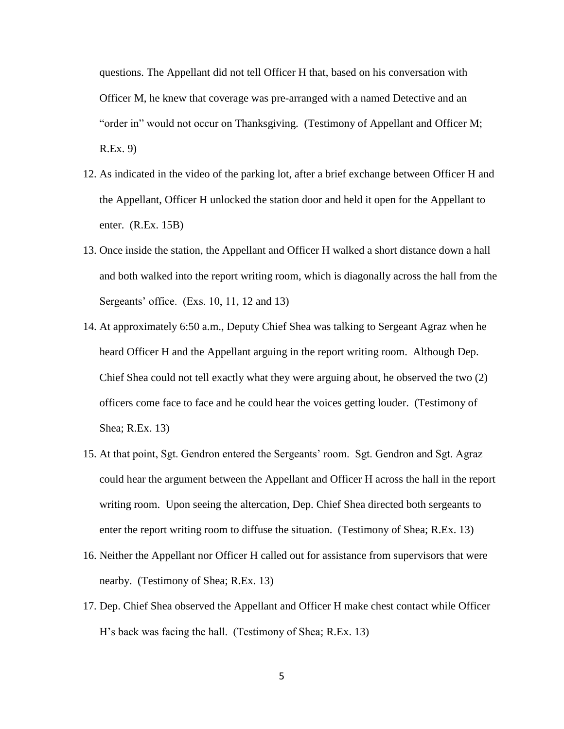questions. The Appellant did not tell Officer H that, based on his conversation with Officer M, he knew that coverage was pre-arranged with a named Detective and an "order in" would not occur on Thanksgiving. (Testimony of Appellant and Officer M; R.Ex. 9)

- 12. As indicated in the video of the parking lot, after a brief exchange between Officer H and the Appellant, Officer H unlocked the station door and held it open for the Appellant to enter. (R.Ex. 15B)
- 13. Once inside the station, the Appellant and Officer H walked a short distance down a hall and both walked into the report writing room, which is diagonally across the hall from the Sergeants' office. (Exs. 10, 11, 12 and 13)
- 14. At approximately 6:50 a.m., Deputy Chief Shea was talking to Sergeant Agraz when he heard Officer H and the Appellant arguing in the report writing room. Although Dep. Chief Shea could not tell exactly what they were arguing about, he observed the two (2) officers come face to face and he could hear the voices getting louder. (Testimony of Shea; R.Ex. 13)
- 15. At that point, Sgt. Gendron entered the Sergeants' room. Sgt. Gendron and Sgt. Agraz could hear the argument between the Appellant and Officer H across the hall in the report writing room. Upon seeing the altercation, Dep. Chief Shea directed both sergeants to enter the report writing room to diffuse the situation. (Testimony of Shea; R.Ex. 13)
- 16. Neither the Appellant nor Officer H called out for assistance from supervisors that were nearby. (Testimony of Shea; R.Ex. 13)
- 17. Dep. Chief Shea observed the Appellant and Officer H make chest contact while Officer H's back was facing the hall. (Testimony of Shea; R.Ex. 13)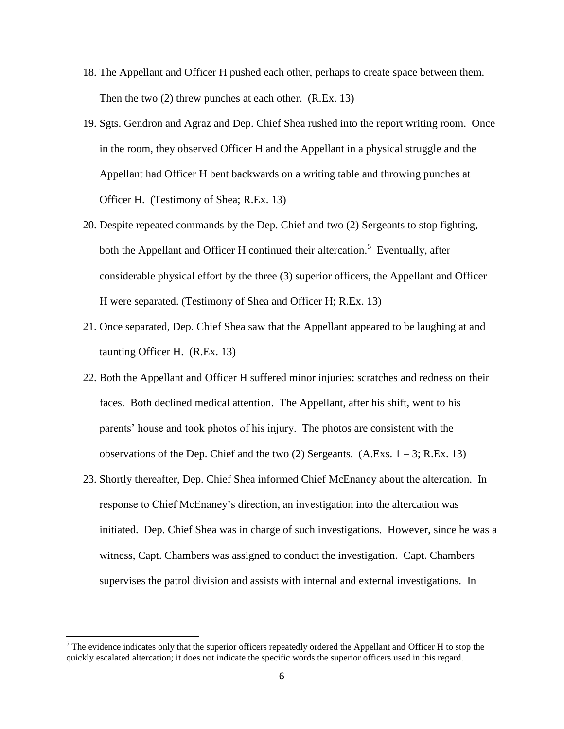- 18. The Appellant and Officer H pushed each other, perhaps to create space between them. Then the two (2) threw punches at each other. (R.Ex. 13)
- 19. Sgts. Gendron and Agraz and Dep. Chief Shea rushed into the report writing room. Once in the room, they observed Officer H and the Appellant in a physical struggle and the Appellant had Officer H bent backwards on a writing table and throwing punches at Officer H. (Testimony of Shea; R.Ex. 13)
- 20. Despite repeated commands by the Dep. Chief and two (2) Sergeants to stop fighting, both the Appellant and Officer H continued their altercation.<sup>5</sup> Eventually, after considerable physical effort by the three (3) superior officers, the Appellant and Officer H were separated. (Testimony of Shea and Officer H; R.Ex. 13)
- 21. Once separated, Dep. Chief Shea saw that the Appellant appeared to be laughing at and taunting Officer H. (R.Ex. 13)
- 22. Both the Appellant and Officer H suffered minor injuries: scratches and redness on their faces. Both declined medical attention. The Appellant, after his shift, went to his parents' house and took photos of his injury. The photos are consistent with the observations of the Dep. Chief and the two  $(2)$  Sergeants.  $(A.Exs. 1 – 3; R.Ex. 13)$
- 23. Shortly thereafter, Dep. Chief Shea informed Chief McEnaney about the altercation. In response to Chief McEnaney's direction, an investigation into the altercation was initiated. Dep. Chief Shea was in charge of such investigations. However, since he was a witness, Capt. Chambers was assigned to conduct the investigation. Capt. Chambers supervises the patrol division and assists with internal and external investigations. In

 $\overline{a}$ 

 $<sup>5</sup>$  The evidence indicates only that the superior officers repeatedly ordered the Appellant and Officer H to stop the</sup> quickly escalated altercation; it does not indicate the specific words the superior officers used in this regard.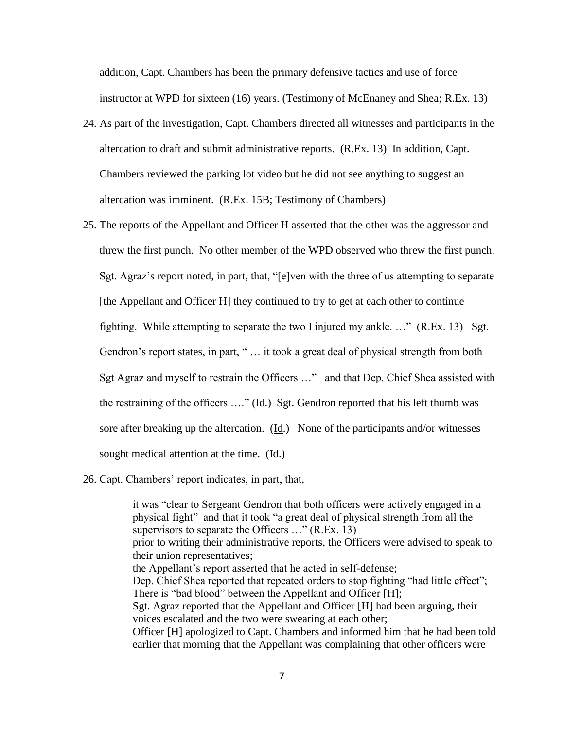addition, Capt. Chambers has been the primary defensive tactics and use of force instructor at WPD for sixteen (16) years. (Testimony of McEnaney and Shea; R.Ex. 13)

- 24. As part of the investigation, Capt. Chambers directed all witnesses and participants in the altercation to draft and submit administrative reports. (R.Ex. 13) In addition, Capt. Chambers reviewed the parking lot video but he did not see anything to suggest an altercation was imminent. (R.Ex. 15B; Testimony of Chambers)
- 25. The reports of the Appellant and Officer H asserted that the other was the aggressor and threw the first punch. No other member of the WPD observed who threw the first punch. Sgt. Agraz's report noted, in part, that, "[e]ven with the three of us attempting to separate [the Appellant and Officer H] they continued to try to get at each other to continue fighting. While attempting to separate the two I injured my ankle. …" (R.Ex. 13) Sgt. Gendron's report states, in part, "... it took a great deal of physical strength from both Sgt Agraz and myself to restrain the Officers …" and that Dep. Chief Shea assisted with the restraining of the officers ...." (Id.) Sgt. Gendron reported that his left thumb was sore after breaking up the altercation.  $(\underline{Id})$  None of the participants and/or witnesses sought medical attention at the time. (Id.)
- 26. Capt. Chambers' report indicates, in part, that,

it was "clear to Sergeant Gendron that both officers were actively engaged in a physical fight" and that it took "a great deal of physical strength from all the supervisors to separate the Officers ..." (R.Ex. 13) prior to writing their administrative reports, the Officers were advised to speak to their union representatives; the Appellant's report asserted that he acted in self-defense; Dep. Chief Shea reported that repeated orders to stop fighting "had little effect"; There is "bad blood" between the Appellant and Officer [H]; Sgt. Agraz reported that the Appellant and Officer [H] had been arguing, their voices escalated and the two were swearing at each other; Officer [H] apologized to Capt. Chambers and informed him that he had been told earlier that morning that the Appellant was complaining that other officers were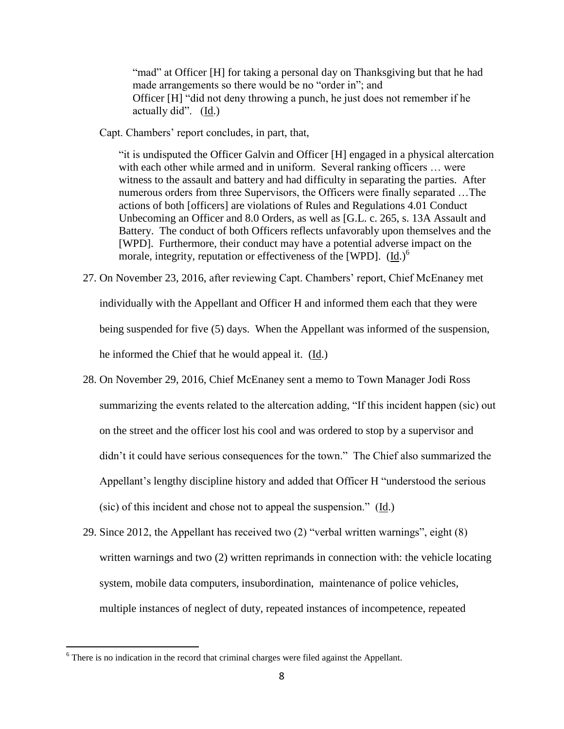"mad" at Officer [H] for taking a personal day on Thanksgiving but that he had made arrangements so there would be no "order in"; and Officer [H] "did not deny throwing a punch, he just does not remember if he actually did". (Id.)

Capt. Chambers' report concludes, in part, that,

"it is undisputed the Officer Galvin and Officer [H] engaged in a physical altercation with each other while armed and in uniform. Several ranking officers ... were witness to the assault and battery and had difficulty in separating the parties. After numerous orders from three Supervisors, the Officers were finally separated …The actions of both [officers] are violations of Rules and Regulations 4.01 Conduct Unbecoming an Officer and 8.0 Orders, as well as [G.L. c. 265, s. 13A Assault and Battery. The conduct of both Officers reflects unfavorably upon themselves and the [WPD]. Furthermore, their conduct may have a potential adverse impact on the morale, integrity, reputation or effectiveness of the [WPD].  $(Id.)^6$ 

- 27. On November 23, 2016, after reviewing Capt. Chambers' report, Chief McEnaney met individually with the Appellant and Officer H and informed them each that they were being suspended for five (5) days. When the Appellant was informed of the suspension, he informed the Chief that he would appeal it. (Id.)
- 28. On November 29, 2016, Chief McEnaney sent a memo to Town Manager Jodi Ross summarizing the events related to the altercation adding, "If this incident happen (sic) out on the street and the officer lost his cool and was ordered to stop by a supervisor and didn't it could have serious consequences for the town." The Chief also summarized the Appellant's lengthy discipline history and added that Officer H "understood the serious (sic) of this incident and chose not to appeal the suspension." (Id.)
- 29. Since 2012, the Appellant has received two (2) "verbal written warnings", eight (8) written warnings and two (2) written reprimands in connection with: the vehicle locating system, mobile data computers, insubordination, maintenance of police vehicles, multiple instances of neglect of duty, repeated instances of incompetence, repeated

 $\overline{a}$ 

 $6$  There is no indication in the record that criminal charges were filed against the Appellant.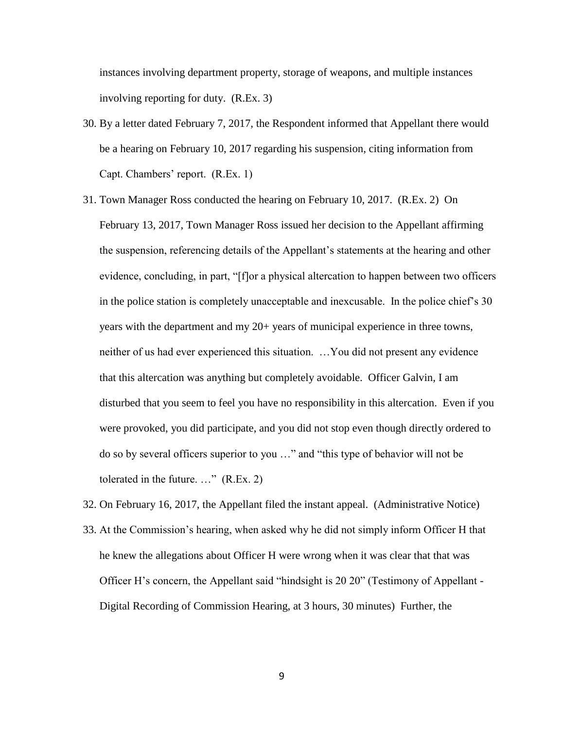instances involving department property, storage of weapons, and multiple instances involving reporting for duty. (R.Ex. 3)

- 30. By a letter dated February 7, 2017, the Respondent informed that Appellant there would be a hearing on February 10, 2017 regarding his suspension, citing information from Capt. Chambers' report. (R.Ex. 1)
- 31. Town Manager Ross conducted the hearing on February 10, 2017. (R.Ex. 2) On February 13, 2017, Town Manager Ross issued her decision to the Appellant affirming the suspension, referencing details of the Appellant's statements at the hearing and other evidence, concluding, in part, "[f]or a physical altercation to happen between two officers in the police station is completely unacceptable and inexcusable. In the police chief's 30 years with the department and my 20+ years of municipal experience in three towns, neither of us had ever experienced this situation. …You did not present any evidence that this altercation was anything but completely avoidable. Officer Galvin, I am disturbed that you seem to feel you have no responsibility in this altercation. Even if you were provoked, you did participate, and you did not stop even though directly ordered to do so by several officers superior to you …" and "this type of behavior will not be tolerated in the future. …" (R.Ex. 2)
- 33. At the Commission's hearing, when asked why he did not simply inform Officer H that he knew the allegations about Officer H were wrong when it was clear that that was Officer H's concern, the Appellant said "hindsight is 20 20" (Testimony of Appellant - Digital Recording of Commission Hearing, at 3 hours, 30 minutes) Further, the

32. On February 16, 2017, the Appellant filed the instant appeal. (Administrative Notice)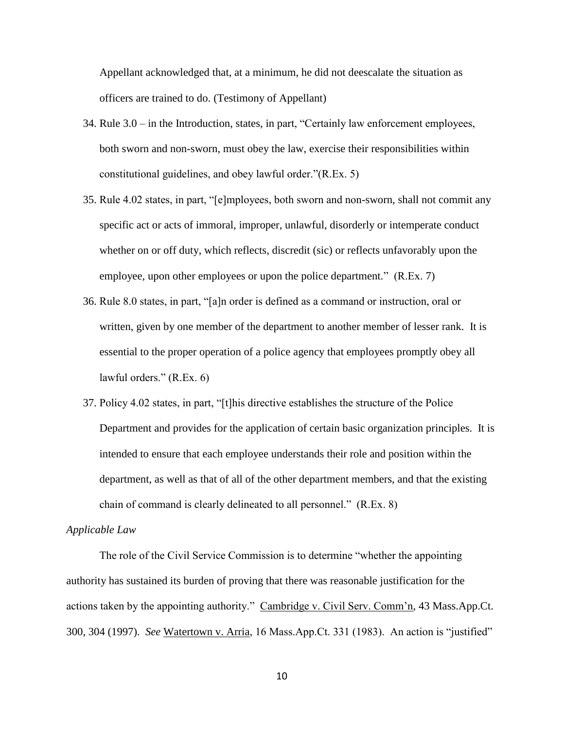Appellant acknowledged that, at a minimum, he did not deescalate the situation as officers are trained to do. (Testimony of Appellant)

- 34. Rule 3.0 in the Introduction, states, in part, "Certainly law enforcement employees, both sworn and non-sworn, must obey the law, exercise their responsibilities within constitutional guidelines, and obey lawful order."(R.Ex. 5)
- 35. Rule 4.02 states, in part, "[e]mployees, both sworn and non-sworn, shall not commit any specific act or acts of immoral, improper, unlawful, disorderly or intemperate conduct whether on or off duty, which reflects, discredit (sic) or reflects unfavorably upon the employee, upon other employees or upon the police department." (R.Ex. 7)
- 36. Rule 8.0 states, in part, "[a]n order is defined as a command or instruction, oral or written, given by one member of the department to another member of lesser rank. It is essential to the proper operation of a police agency that employees promptly obey all lawful orders." (R.Ex. 6)
- 37. Policy 4.02 states, in part, "[t]his directive establishes the structure of the Police Department and provides for the application of certain basic organization principles. It is intended to ensure that each employee understands their role and position within the department, as well as that of all of the other department members, and that the existing chain of command is clearly delineated to all personnel." (R.Ex. 8)

#### *Applicable Law*

The role of the Civil Service Commission is to determine "whether the appointing authority has sustained its burden of proving that there was reasonable justification for the actions taken by the appointing authority." Cambridge v. Civil Serv. Comm'n, 43 Mass.App.Ct. 300, 304 (1997). *See* Watertown v. Arria, 16 Mass.App.Ct. 331 (1983). An action is "justified"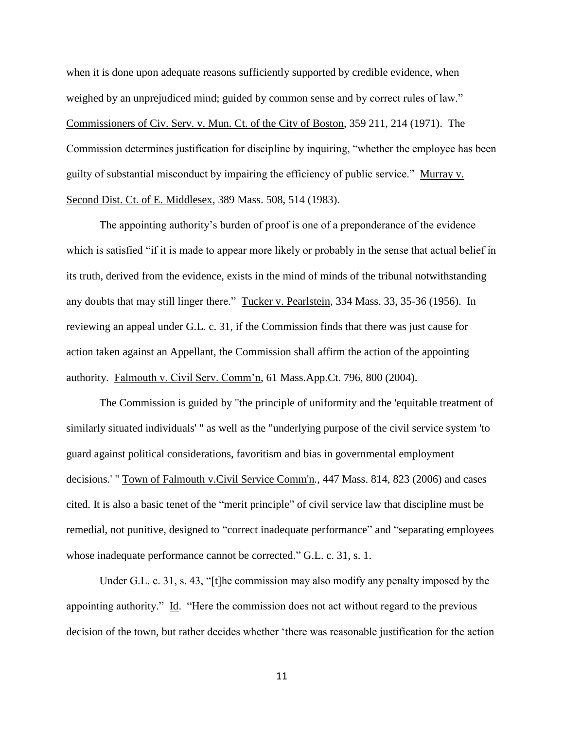when it is done upon adequate reasons sufficiently supported by credible evidence, when weighed by an unprejudiced mind; guided by common sense and by correct rules of law." Commissioners of Civ. Serv. v. Mun. Ct. of the City of Boston, 359 211, 214 (1971). The Commission determines justification for discipline by inquiring, "whether the employee has been guilty of substantial misconduct by impairing the efficiency of public service." Murray v. Second Dist. Ct. of E. Middlesex, 389 Mass. 508, 514 (1983).

The appointing authority's burden of proof is one of a preponderance of the evidence which is satisfied "if it is made to appear more likely or probably in the sense that actual belief in its truth, derived from the evidence, exists in the mind of minds of the tribunal notwithstanding any doubts that may still linger there." Tucker v. Pearlstein, 334 Mass. 33, 35-36 (1956). In reviewing an appeal under G.L. c. 31, if the Commission finds that there was just cause for action taken against an Appellant, the Commission shall affirm the action of the appointing authority. Falmouth v. Civil Serv. Comm'n, 61 Mass.App.Ct. 796, 800 (2004).

The Commission is guided by "the principle of uniformity and the 'equitable treatment of similarly situated individuals' " as well as the "underlying purpose of the civil service system 'to guard against political considerations, favoritism and bias in governmental employment decisions.' " Town of Falmouth v.Civil Service Comm'n*.,* 447 Mass. 814, 823 (2006) and cases cited. It is also a basic tenet of the "merit principle" of civil service law that discipline must be remedial, not punitive, designed to "correct inadequate performance" and "separating employees whose inadequate performance cannot be corrected." G.L. c. 31, s. 1.

Under G.L. c. 31, s. 43, "[t]he commission may also modify any penalty imposed by the appointing authority." Id. "Here the commission does not act without regard to the previous decision of the town, but rather decides whether 'there was reasonable justification for the action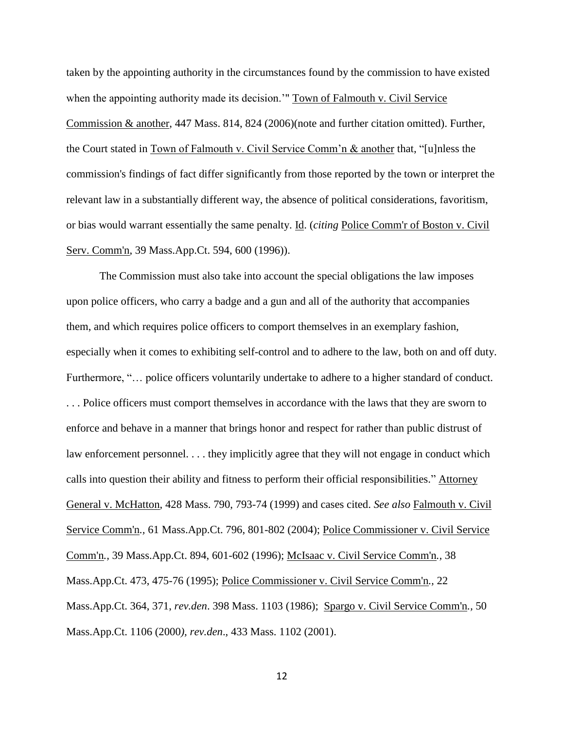taken by the appointing authority in the circumstances found by the commission to have existed when the appointing authority made its decision.'" Town of Falmouth v. Civil Service Commission & another, 447 Mass. 814, 824 (2006)(note and further citation omitted). Further, the Court stated in Town of Falmouth v. Civil Service Comm'n & another that, "[u]nless the commission's findings of fact differ significantly from those reported by the town or interpret the relevant law in a substantially different way, the absence of political considerations, favoritism, or bias would warrant essentially the same penalty. Id. (*citing* Police Comm'r of Boston v. Civil Serv. Comm'n, [39 Mass.App.Ct. 594,](http://masscases.com/cases/app/39/39massappct594.html) 600 (1996)).

The Commission must also take into account the special obligations the law imposes upon police officers, who carry a badge and a gun and all of the authority that accompanies them, and which requires police officers to comport themselves in an exemplary fashion, especially when it comes to exhibiting self-control and to adhere to the law, both on and off duty. Furthermore, "... police officers voluntarily undertake to adhere to a higher standard of conduct. . . . Police officers must comport themselves in accordance with the laws that they are sworn to enforce and behave in a manner that brings honor and respect for rather than public distrust of law enforcement personnel. . . . they implicitly agree that they will not engage in conduct which calls into question their ability and fitness to perform their official responsibilities." Attorney General v. McHatton, 428 Mass. 790, 793-74 (1999) and cases cited. *See also* Falmouth v. Civil Service Comm'n*.,* 61 Mass.App.Ct. 796, 801-802 (2004); Police Commissioner v. Civil Service Comm'n*.,* 39 Mass.App.Ct. 894, 601-602 (1996); McIsaac v. Civil Service Comm'n*.,* 38 Mass.App.Ct. 473, 475-76 (1995); Police Commissioner v. Civil Service Comm'n*.,* 22 Mass.App.Ct. 364, 371, *rev.den*. 398 Mass. 1103 (1986); Spargo v. Civil Service Comm'n*.,* 50 Mass.App.Ct. 1106 (2000*), rev.den*., 433 Mass. 1102 (2001).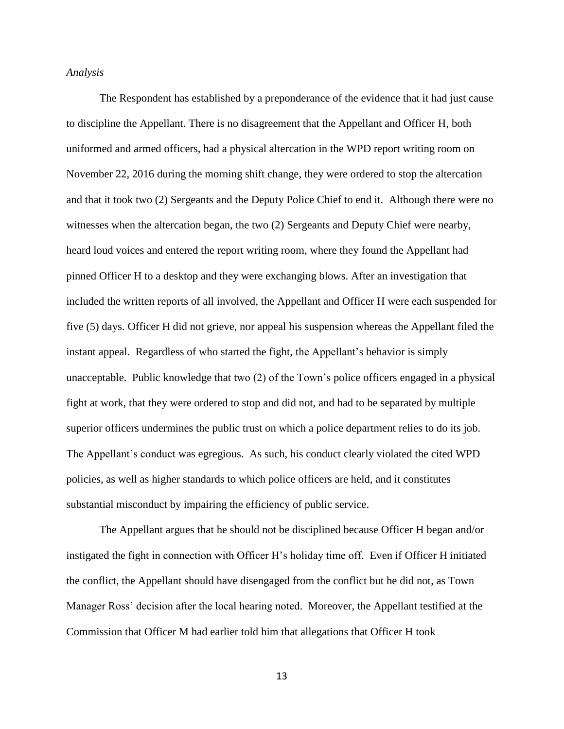#### *Analysis*

The Respondent has established by a preponderance of the evidence that it had just cause to discipline the Appellant. There is no disagreement that the Appellant and Officer H, both uniformed and armed officers, had a physical altercation in the WPD report writing room on November 22, 2016 during the morning shift change, they were ordered to stop the altercation and that it took two (2) Sergeants and the Deputy Police Chief to end it. Although there were no witnesses when the altercation began, the two (2) Sergeants and Deputy Chief were nearby, heard loud voices and entered the report writing room, where they found the Appellant had pinned Officer H to a desktop and they were exchanging blows. After an investigation that included the written reports of all involved, the Appellant and Officer H were each suspended for five (5) days. Officer H did not grieve, nor appeal his suspension whereas the Appellant filed the instant appeal. Regardless of who started the fight, the Appellant's behavior is simply unacceptable. Public knowledge that two (2) of the Town's police officers engaged in a physical fight at work, that they were ordered to stop and did not, and had to be separated by multiple superior officers undermines the public trust on which a police department relies to do its job. The Appellant's conduct was egregious. As such, his conduct clearly violated the cited WPD policies, as well as higher standards to which police officers are held, and it constitutes substantial misconduct by impairing the efficiency of public service.

The Appellant argues that he should not be disciplined because Officer H began and/or instigated the fight in connection with Officer H's holiday time off. Even if Officer H initiated the conflict, the Appellant should have disengaged from the conflict but he did not, as Town Manager Ross' decision after the local hearing noted. Moreover, the Appellant testified at the Commission that Officer M had earlier told him that allegations that Officer H took